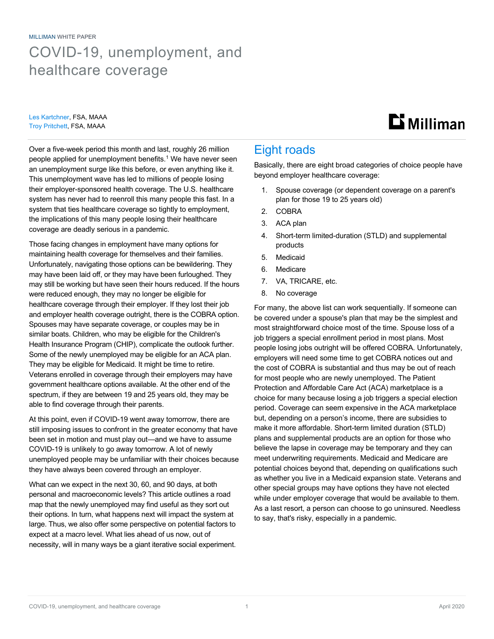MILLIMAN WHITE PAPER COVID-19, unemployment, and healthcare coverage

Les Kartchner, FSA, MAAA Troy Pritchett, FSA, MAAA

## $\mathbf{D}$  Milliman

Over a five-week period this month and last, roughly 26 million people applied for unemployment benefits.<sup>1</sup> We have never seen an unemployment surge like this before, or even anything like it. This unemployment wave has led to millions of people losing their employer-sponsored health coverage. The U.S. healthcare system has never had to reenroll this many people this fast. In a system that ties healthcare coverage so tightly to employment, the implications of this many people losing their healthcare coverage are deadly serious in a pandemic.

Those facing changes in employment have many options for maintaining health coverage for themselves and their families. Unfortunately, navigating those options can be bewildering. They may have been laid off, or they may have been furloughed. They may still be working but have seen their hours reduced. If the hours were reduced enough, they may no longer be eligible for healthcare coverage through their employer. If they lost their job and employer health coverage outright, there is the COBRA option. Spouses may have separate coverage, or couples may be in similar boats. Children, who may be eligible for the Children's Health Insurance Program (CHIP), complicate the outlook further. Some of the newly unemployed may be eligible for an ACA plan. They may be eligible for Medicaid. It might be time to retire. Veterans enrolled in coverage through their employers may have government healthcare options available. At the other end of the spectrum, if they are between 19 and 25 years old, they may be able to find coverage through their parents.

At this point, even if COVID-19 went away tomorrow, there are still imposing issues to confront in the greater economy that have been set in motion and must play out—and we have to assume COVID-19 is unlikely to go away tomorrow. A lot of newly unemployed people may be unfamiliar with their choices because they have always been covered through an employer.

What can we expect in the next 30, 60, and 90 days, at both personal and macroeconomic levels? This article outlines a road map that the newly unemployed may find useful as they sort out their options. In turn, what happens next will impact the system at large. Thus, we also offer some perspective on potential factors to expect at a macro level. What lies ahead of us now, out of necessity, will in many ways be a giant iterative social experiment.

## Eight roads

Basically, there are eight broad categories of choice people have beyond employer healthcare coverage:

- 1. Spouse coverage (or dependent coverage on a parent's plan for those 19 to 25 years old)
- 2. COBRA
- 3. ACA plan
- 4. Short-term limited-duration (STLD) and supplemental products
- 5. Medicaid
- 6. Medicare
- 7. VA, TRICARE, etc.
- 8. No coverage

For many, the above list can work sequentially. If someone can be covered under a spouse's plan that may be the simplest and most straightforward choice most of the time. Spouse loss of a job triggers a special enrollment period in most plans. Most people losing jobs outright will be offered COBRA. Unfortunately, employers will need some time to get COBRA notices out and the cost of COBRA is substantial and thus may be out of reach for most people who are newly unemployed. The Patient Protection and Affordable Care Act (ACA) marketplace is a choice for many because losing a job triggers a special election period. Coverage can seem expensive in the ACA marketplace but, depending on a person's income, there are subsidies to make it more affordable. Short-term limited duration (STLD) plans and supplemental products are an option for those who believe the lapse in coverage may be temporary and they can meet underwriting requirements. Medicaid and Medicare are potential choices beyond that, depending on qualifications such as whether you live in a Medicaid expansion state. Veterans and other special groups may have options they have not elected while under employer coverage that would be available to them. As a last resort, a person can choose to go uninsured. Needless to say, that's risky, especially in a pandemic.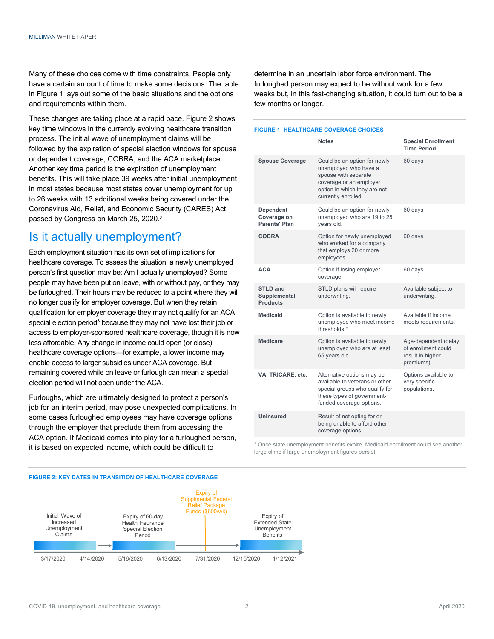Many of these choices come with time constraints. People only have a certain amount of time to make some decisions. The table in Figure 1 lays out some of the basic situations and the options and requirements within them.

These changes are taking place at a rapid pace. Figure 2 shows key time windows in the currently evolving healthcare transition process. The initial wave of unemployment claims will be followed by the expiration of special election windows for spouse or dependent coverage, COBRA, and the ACA marketplace. Another key time period is the expiration of unemployment benefits. This will take place 39 weeks after initial unemployment in most states because most states cover unemployment for up to 26 weeks with 13 additional weeks being covered under the Coronavirus Aid, Relief, and Economic Security (CARES) Act passed by Congress on March 25, 2020.<sup>2</sup>

### Is it actually unemployment?

Each employment situation has its own set of implications for healthcare coverage. To assess the situation, a newly unemployed person's first question may be: Am I actually unemployed? Some people may have been put on leave, with or without pay, or they may be furloughed. Their hours may be reduced to a point where they will no longer qualify for employer coverage. But when they retain qualification for employer coverage they may not qualify for an ACA special election period<sup>3</sup> because they may not have lost their job or access to employer-sponsored healthcare coverage, though it is now less affordable. Any change in income could open (or close) healthcare coverage options—for example, a lower income may enable access to larger subsidies under ACA coverage. But remaining covered while on leave or furlough can mean a special election period will not open under the ACA.

Furloughs, which are ultimately designed to protect a person's job for an interim period, may pose unexpected complications. In some cases furloughed employees may have coverage options through the employer that preclude them from accessing the ACA option. If Medicaid comes into play for a furloughed person, it is based on expected income, which could be difficult to

#### **FIGURE 2: KEY DATES IN TRANSITION OF HEALTHCARE COVERAGE**



determine in an uncertain labor force environment. The furloughed person may expect to be without work for a few weeks but, in this fast-changing situation, it could turn out to be a few months or longer.

#### **FIGURE 1: HEALTHCARE COVERAGE CHOICES**

|                                                    | <b>Notes</b>                                                                                                                                                    | <b>Special Enrollment</b><br><b>Time Period</b>                              |
|----------------------------------------------------|-----------------------------------------------------------------------------------------------------------------------------------------------------------------|------------------------------------------------------------------------------|
| <b>Spouse Coverage</b>                             | Could be an option for newly<br>unemployed who have a<br>spouse with separate<br>coverage or an employer<br>option in which they are not<br>currently enrolled. | 60 days                                                                      |
| <b>Dependent</b><br>Coverage on<br>Parents' Plan   | Could be an option for newly<br>unemployed who are 19 to 25<br>years old.                                                                                       | 60 days                                                                      |
| <b>COBRA</b>                                       | Option for newly unemployed<br>who worked for a company<br>that employs 20 or more<br>employees.                                                                | 60 days                                                                      |
| <b>ACA</b>                                         | Option if losing employer<br>coverage.                                                                                                                          | 60 days                                                                      |
| <b>STLD and</b><br>Supplemental<br><b>Products</b> | STLD plans will require<br>underwriting.                                                                                                                        | Available subject to<br>underwriting.                                        |
| <b>Medicaid</b>                                    | Option is available to newly<br>unemployed who meet income<br>thresholds *                                                                                      | Available if income<br>meets requirements.                                   |
| <b>Medicare</b>                                    | Option is available to newly<br>unemployed who are at least<br>65 years old.                                                                                    | Age-dependent (delay<br>of enrollment could<br>result in higher<br>premiums) |
| VA, TRICARE, etc.                                  | Alternative options may be<br>available to veterans or other<br>special groups who qualify for<br>these types of government-<br>funded coverage options.        | Options available to<br>very specific<br>populations.                        |
| Uninsured                                          | Result of not opting for or<br>being unable to afford other<br>coverage options.                                                                                |                                                                              |

\* Once state unemployment benefits expire, Medicaid enrollment could see another large climb if large unemployment figures persist.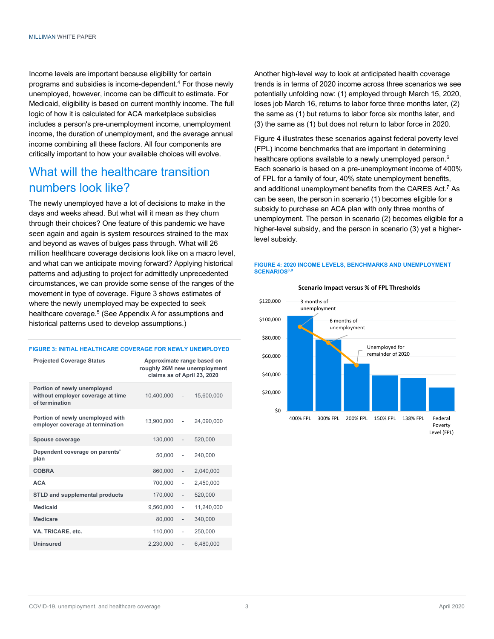Income levels are important because eligibility for certain programs and subsidies is income-dependent.4 For those newly unemployed, however, income can be difficult to estimate. For Medicaid, eligibility is based on current monthly income. The full logic of how it is calculated for ACA marketplace subsidies includes a person's pre-unemployment income, unemployment income, the duration of unemployment, and the average annual income combining all these factors. All four components are critically important to how your available choices will evolve.

## What will the healthcare transition numbers look like?

The newly unemployed have a lot of decisions to make in the days and weeks ahead. But what will it mean as they churn through their choices? One feature of this pandemic we have seen again and again is system resources strained to the max and beyond as waves of bulges pass through. What will 26 million healthcare coverage decisions look like on a macro level, and what can we anticipate moving forward? Applying historical patterns and adjusting to project for admittedly unprecedented circumstances, we can provide some sense of the ranges of the movement in type of coverage. Figure 3 shows estimates of where the newly unemployed may be expected to seek healthcare coverage.<sup>5</sup> (See Appendix A for assumptions and historical patterns used to develop assumptions.)

#### **FIGURE 3: INITIAL HEALTHCARE COVERAGE FOR NEWLY UNEMPLOYED**

| <b>Projected Coverage Status</b>                                                   | Approximate range based on<br>roughly 26M new unemployment<br>claims as of April 23, 2020 |                              |            |
|------------------------------------------------------------------------------------|-------------------------------------------------------------------------------------------|------------------------------|------------|
| Portion of newly unemployed<br>without employer coverage at time<br>of termination | 10,400,000                                                                                | $\sim 10^{-1}$               | 15.600.000 |
| Portion of newly unemployed with<br>employer coverage at termination               | 13.900.000                                                                                | ÷,                           | 24,090,000 |
| Spouse coverage                                                                    | 130,000                                                                                   |                              | 520,000    |
| Dependent coverage on parents'<br>plan                                             | 50,000                                                                                    |                              | 240,000    |
| <b>COBRA</b>                                                                       | 860,000                                                                                   | $\qquad \qquad \blacksquare$ | 2,040,000  |
| <b>ACA</b>                                                                         | 700.000                                                                                   | ä,                           | 2.450.000  |
| <b>STLD and supplemental products</b>                                              | 170,000                                                                                   | $\qquad \qquad \blacksquare$ | 520,000    |
| <b>Medicaid</b>                                                                    | 9,560,000                                                                                 | ä,                           | 11,240,000 |
| Medicare                                                                           | 80,000                                                                                    | $\frac{1}{2}$                | 340.000    |
| VA, TRICARE, etc.                                                                  | 110,000                                                                                   | $\overline{a}$               | 250,000    |
| Uninsured                                                                          | 2,230,000                                                                                 |                              | 6,480,000  |

Another high-level way to look at anticipated health coverage trends is in terms of 2020 income across three scenarios we see potentially unfolding now: (1) employed through March 15, 2020, loses job March 16, returns to labor force three months later, (2) the same as (1) but returns to labor force six months later, and (3) the same as (1) but does not return to labor force in 2020.

Figure 4 illustrates these scenarios against federal poverty level (FPL) income benchmarks that are important in determining healthcare options available to a newly unemployed person.<sup>6</sup> Each scenario is based on a pre-unemployment income of 400% of FPL for a family of four, 40% state unemployment benefits, and additional unemployment benefits from the CARES Act.7 As can be seen, the person in scenario (1) becomes eligible for a subsidy to purchase an ACA plan with only three months of unemployment. The person in scenario (2) becomes eligible for a higher-level subsidy, and the person in scenario (3) yet a higherlevel subsidy.

#### **FIGURE 4: 2020 INCOME LEVELS, BENCHMARKS AND UNEMPLOYMENT SCENARIOS8,9**



#### **Scenario Impact versus % of FPL Thresholds**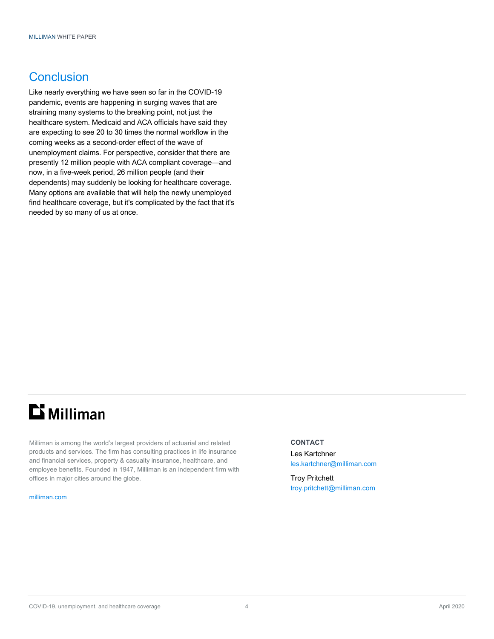## Conclusion

Like nearly everything we have seen so far in the COVID-19 pandemic, events are happening in surging waves that are straining many systems to the breaking point, not just the healthcare system. Medicaid and ACA officials have said they are expecting to see 20 to 30 times the normal workflow in the coming weeks as a second-order effect of the wave of unemployment claims. For perspective, consider that there are presently 12 million people with ACA compliant coverage—and now, in a five-week period, 26 million people (and their dependents) may suddenly be looking for healthcare coverage. Many options are available that will help the newly unemployed find healthcare coverage, but it's complicated by the fact that it's needed by so many of us at once.

# $\mathbf{D}$  Milliman

Milliman is among the world's largest providers of actuarial and related products and services. The firm has consulting practices in life insurance and financial services, property & casualty insurance, healthcare, and employee benefits. Founded in 1947, Milliman is an independent firm with offices in major cities around the globe.

#### milliman.com

#### **CONTACT**

Les Kartchner les.kartchner@milliman.com

Troy Pritchett troy.pritchett@milliman.com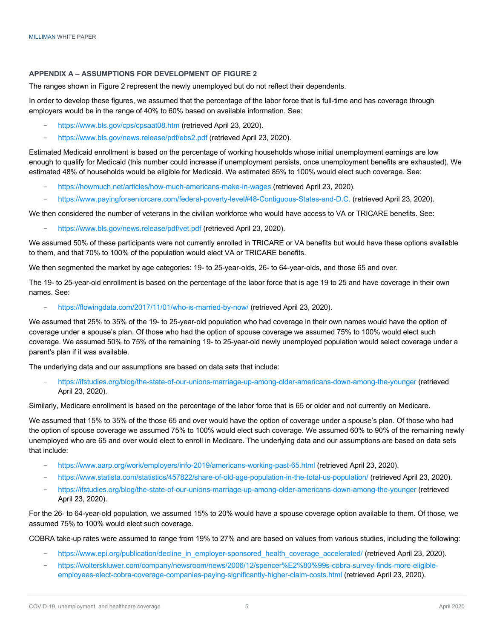#### **APPENDIX A – ASSUMPTIONS FOR DEVELOPMENT OF FIGURE 2**

The ranges shown in Figure 2 represent the newly unemployed but do not reflect their dependents.

In order to develop these figures, we assumed that the percentage of the labor force that is full-time and has coverage through employers would be in the range of 40% to 60% based on available information. See:

- − https://www.bls.gov/cps/cpsaat08.htm (retrieved April 23, 2020).
- https://www.bls.gov/news.release/pdf/ebs2.pdf (retrieved April 23, 2020).

Estimated Medicaid enrollment is based on the percentage of working households whose initial unemployment earnings are low enough to qualify for Medicaid (this number could increase if unemployment persists, once unemployment benefits are exhausted). We estimated 48% of households would be eligible for Medicaid. We estimated 85% to 100% would elect such coverage. See:

- − https://howmuch.net/articles/how-much-americans-make-in-wages (retrieved April 23, 2020).
- − https://www.payingforseniorcare.com/federal-poverty-level#48-Contiguous-States-and-D.C. (retrieved April 23, 2020).

We then considered the number of veterans in the civilian workforce who would have access to VA or TRICARE benefits. See:

− https://www.bls.gov/news.release/pdf/vet.pdf (retrieved April 23, 2020).

We assumed 50% of these participants were not currently enrolled in TRICARE or VA benefits but would have these options available to them, and that 70% to 100% of the population would elect VA or TRICARE benefits.

We then segmented the market by age categories: 19- to 25-year-olds, 26- to 64-year-olds, and those 65 and over.

The 19- to 25-year-old enrollment is based on the percentage of the labor force that is age 19 to 25 and have coverage in their own names. See:

− https://flowingdata.com/2017/11/01/who-is-married-by-now/ (retrieved April 23, 2020).

We assumed that 25% to 35% of the 19- to 25-year-old population who had coverage in their own names would have the option of coverage under a spouse's plan. Of those who had the option of spouse coverage we assumed 75% to 100% would elect such coverage. We assumed 50% to 75% of the remaining 19- to 25-year-old newly unemployed population would select coverage under a parent's plan if it was available.

The underlying data and our assumptions are based on data sets that include:

− https://ifstudies.org/blog/the-state-of-our-unions-marriage-up-among-older-americans-down-among-the-younger (retrieved April 23, 2020).

Similarly, Medicare enrollment is based on the percentage of the labor force that is 65 or older and not currently on Medicare.

We assumed that 15% to 35% of the those 65 and over would have the option of coverage under a spouse's plan. Of those who had the option of spouse coverage we assumed 75% to 100% would elect such coverage. We assumed 60% to 90% of the remaining newly unemployed who are 65 and over would elect to enroll in Medicare. The underlying data and our assumptions are based on data sets that include:

- − https://www.aarp.org/work/employers/info-2019/americans-working-past-65.html (retrieved April 23, 2020).
- − https://www.statista.com/statistics/457822/share-of-old-age-population-in-the-total-us-population/ (retrieved April 23, 2020).
- − https://ifstudies.org/blog/the-state-of-our-unions-marriage-up-among-older-americans-down-among-the-younger (retrieved April 23, 2020).

For the 26- to 64-year-old population, we assumed 15% to 20% would have a spouse coverage option available to them. Of those, we assumed 75% to 100% would elect such coverage.

COBRA take-up rates were assumed to range from 19% to 27% and are based on values from various studies, including the following:

- https://www.epi.org/publication/decline\_in\_employer-sponsored\_health\_coverage\_accelerated/ (retrieved April 23, 2020).
- − https://wolterskluwer.com/company/newsroom/news/2006/12/spencer%E2%80%99s-cobra-survey-finds-more-eligibleemployees-elect-cobra-coverage-companies-paying-significantly-higher-claim-costs.html (retrieved April 23, 2020).